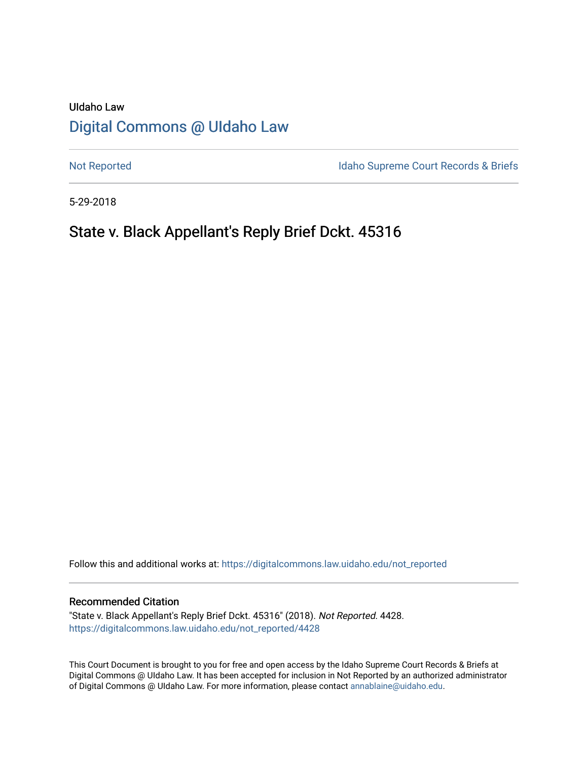# UIdaho Law [Digital Commons @ UIdaho Law](https://digitalcommons.law.uidaho.edu/)

[Not Reported](https://digitalcommons.law.uidaho.edu/not_reported) **Idaho Supreme Court Records & Briefs** 

5-29-2018

# State v. Black Appellant's Reply Brief Dckt. 45316

Follow this and additional works at: [https://digitalcommons.law.uidaho.edu/not\\_reported](https://digitalcommons.law.uidaho.edu/not_reported?utm_source=digitalcommons.law.uidaho.edu%2Fnot_reported%2F4428&utm_medium=PDF&utm_campaign=PDFCoverPages) 

#### Recommended Citation

"State v. Black Appellant's Reply Brief Dckt. 45316" (2018). Not Reported. 4428. [https://digitalcommons.law.uidaho.edu/not\\_reported/4428](https://digitalcommons.law.uidaho.edu/not_reported/4428?utm_source=digitalcommons.law.uidaho.edu%2Fnot_reported%2F4428&utm_medium=PDF&utm_campaign=PDFCoverPages)

This Court Document is brought to you for free and open access by the Idaho Supreme Court Records & Briefs at Digital Commons @ UIdaho Law. It has been accepted for inclusion in Not Reported by an authorized administrator of Digital Commons @ UIdaho Law. For more information, please contact [annablaine@uidaho.edu](mailto:annablaine@uidaho.edu).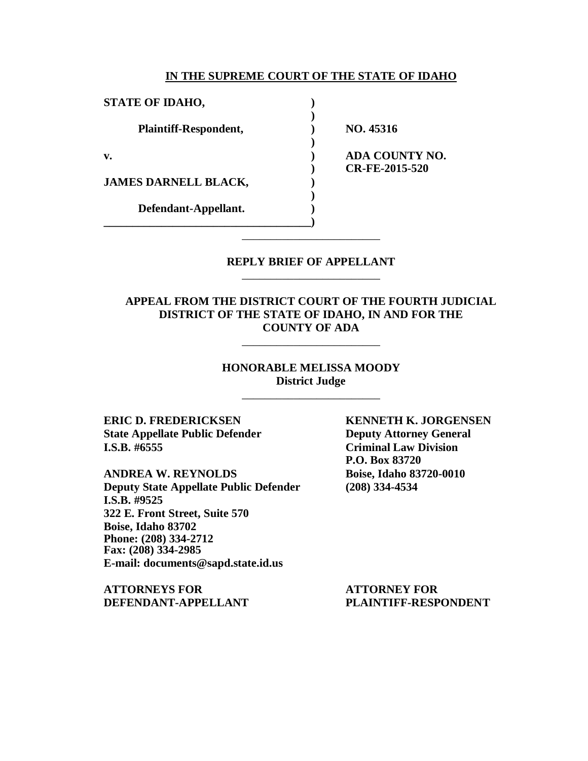#### **IN THE SUPREME COURT OF THE STATE OF IDAHO**

| NO. 45316                               |
|-----------------------------------------|
| <b>ADA COUNTY NO.</b><br>CR-FE-2015-520 |
|                                         |
|                                         |
|                                         |

### **REPLY BRIEF OF APPELLANT** \_\_\_\_\_\_\_\_\_\_\_\_\_\_\_\_\_\_\_\_\_\_\_\_

\_\_\_\_\_\_\_\_\_\_\_\_\_\_\_\_\_\_\_\_\_\_\_\_

**APPEAL FROM THE DISTRICT COURT OF THE FOURTH JUDICIAL DISTRICT OF THE STATE OF IDAHO, IN AND FOR THE COUNTY OF ADA**

\_\_\_\_\_\_\_\_\_\_\_\_\_\_\_\_\_\_\_\_\_\_\_\_

## **HONORABLE MELISSA MOODY District Judge**

\_\_\_\_\_\_\_\_\_\_\_\_\_\_\_\_\_\_\_\_\_\_\_\_

**State Appellate Public Defender Deputy Attorney General I.S.B. #6555 Criminal Law Division**

**ANDREA W. REYNOLDS Boise, Idaho 83720-0010 Deputy State Appellate Public Defender (208) 334-4534 I.S.B. #9525 322 E. Front Street, Suite 570 Boise, Idaho 83702 Phone: (208) 334-2712 Fax: (208) 334-2985 E-mail: documents@sapd.state.id.us**

**ATTORNEYS FOR ATTORNEY FOR**

**ERIC D. FREDERICKSEN KENNETH K. JORGENSEN P.O. Box 83720**

**DEFENDANT-APPELLANT PLAINTIFF-RESPONDENT**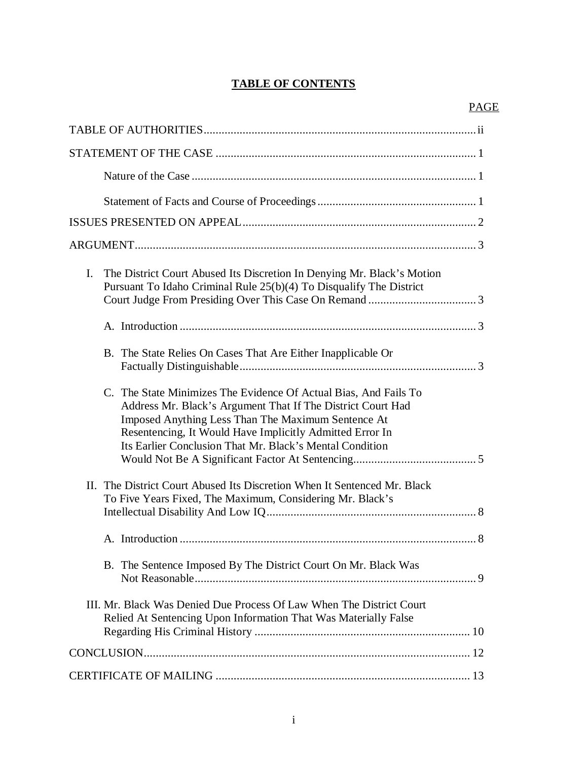## **TABLE OF CONTENTS**

| $\mathbf{I}$ .<br>The District Court Abused Its Discretion In Denying Mr. Black's Motion<br>Pursuant To Idaho Criminal Rule 25(b)(4) To Disqualify The District                                                                                                                                               |
|---------------------------------------------------------------------------------------------------------------------------------------------------------------------------------------------------------------------------------------------------------------------------------------------------------------|
|                                                                                                                                                                                                                                                                                                               |
| B. The State Relies On Cases That Are Either Inapplicable Or                                                                                                                                                                                                                                                  |
| C. The State Minimizes The Evidence Of Actual Bias, And Fails To<br>Address Mr. Black's Argument That If The District Court Had<br>Imposed Anything Less Than The Maximum Sentence At<br>Resentencing, It Would Have Implicitly Admitted Error In<br>Its Earlier Conclusion That Mr. Black's Mental Condition |
| II. The District Court Abused Its Discretion When It Sentenced Mr. Black<br>To Five Years Fixed, The Maximum, Considering Mr. Black's                                                                                                                                                                         |
|                                                                                                                                                                                                                                                                                                               |
| B. The Sentence Imposed By The District Court On Mr. Black Was                                                                                                                                                                                                                                                |
| III. Mr. Black Was Denied Due Process Of Law When The District Court<br>Relied At Sentencing Upon Information That Was Materially False                                                                                                                                                                       |
|                                                                                                                                                                                                                                                                                                               |
|                                                                                                                                                                                                                                                                                                               |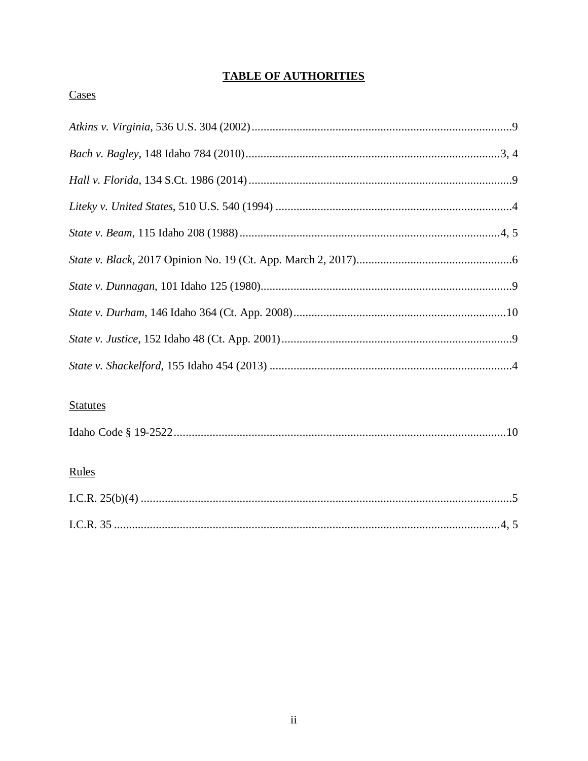## **TABLE OF AUTHORITIES**

## Cases

## **Statutes**

|--|

## Rules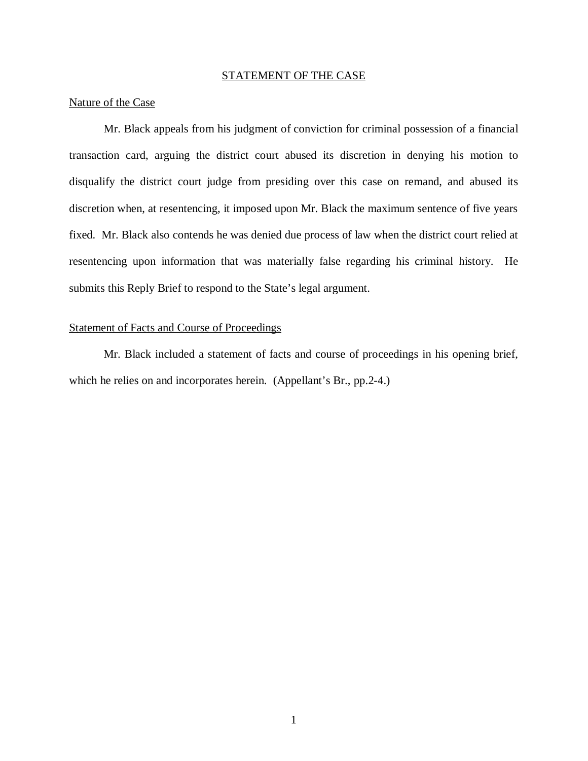### STATEMENT OF THE CASE

#### Nature of the Case

Mr. Black appeals from his judgment of conviction for criminal possession of a financial transaction card, arguing the district court abused its discretion in denying his motion to disqualify the district court judge from presiding over this case on remand, and abused its discretion when, at resentencing, it imposed upon Mr. Black the maximum sentence of five years fixed. Mr. Black also contends he was denied due process of law when the district court relied at resentencing upon information that was materially false regarding his criminal history. He submits this Reply Brief to respond to the State's legal argument.

### Statement of Facts and Course of Proceedings

Mr. Black included a statement of facts and course of proceedings in his opening brief, which he relies on and incorporates herein. (Appellant's Br., pp.2-4.)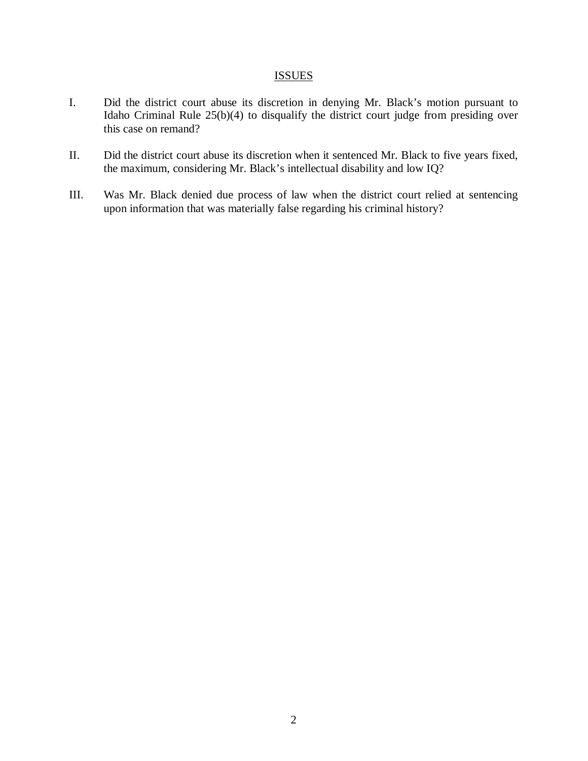## **ISSUES**

- I. Did the district court abuse its discretion in denying Mr. Black's motion pursuant to Idaho Criminal Rule 25(b)(4) to disqualify the district court judge from presiding over this case on remand?
- II. Did the district court abuse its discretion when it sentenced Mr. Black to five years fixed, the maximum, considering Mr. Black's intellectual disability and low IQ?
- III. Was Mr. Black denied due process of law when the district court relied at sentencing upon information that was materially false regarding his criminal history?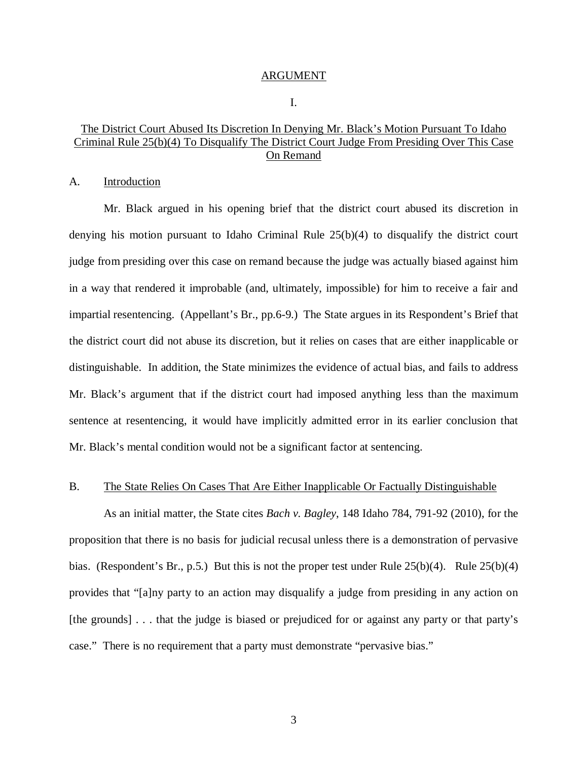#### ARGUMENT

I.

## The District Court Abused Its Discretion In Denying Mr. Black's Motion Pursuant To Idaho Criminal Rule 25(b)(4) To Disqualify The District Court Judge From Presiding Over This Case On Remand

### A. Introduction

Mr. Black argued in his opening brief that the district court abused its discretion in denying his motion pursuant to Idaho Criminal Rule 25(b)(4) to disqualify the district court judge from presiding over this case on remand because the judge was actually biased against him in a way that rendered it improbable (and, ultimately, impossible) for him to receive a fair and impartial resentencing. (Appellant's Br., pp.6-9.) The State argues in its Respondent's Brief that the district court did not abuse its discretion, but it relies on cases that are either inapplicable or distinguishable. In addition, the State minimizes the evidence of actual bias, and fails to address Mr. Black's argument that if the district court had imposed anything less than the maximum sentence at resentencing, it would have implicitly admitted error in its earlier conclusion that Mr. Black's mental condition would not be a significant factor at sentencing.

### B. The State Relies On Cases That Are Either Inapplicable Or Factually Distinguishable

As an initial matter, the State cites *Bach v. Bagley*, 148 Idaho 784, 791-92 (2010), for the proposition that there is no basis for judicial recusal unless there is a demonstration of pervasive bias. (Respondent's Br., p.5.) But this is not the proper test under Rule 25(b)(4). Rule 25(b)(4) provides that "[a]ny party to an action may disqualify a judge from presiding in any action on [the grounds] . . . that the judge is biased or prejudiced for or against any party or that party's case." There is no requirement that a party must demonstrate "pervasive bias."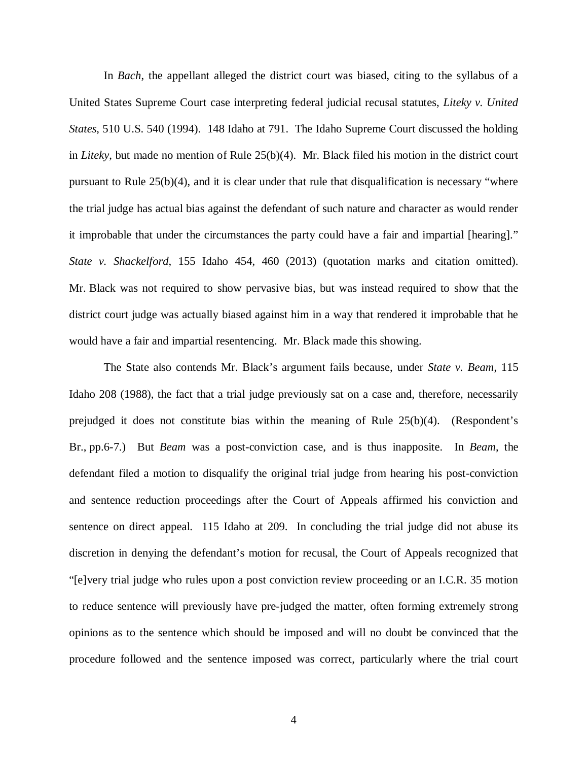In *Bach*, the appellant alleged the district court was biased, citing to the syllabus of a United States Supreme Court case interpreting federal judicial recusal statutes, *Liteky v. United States*, 510 U.S. 540 (1994). 148 Idaho at 791. The Idaho Supreme Court discussed the holding in *Liteky*, but made no mention of Rule 25(b)(4). Mr. Black filed his motion in the district court pursuant to Rule 25(b)(4), and it is clear under that rule that disqualification is necessary "where the trial judge has actual bias against the defendant of such nature and character as would render it improbable that under the circumstances the party could have a fair and impartial [hearing]." *State v. Shackelford*, 155 Idaho 454, 460 (2013) (quotation marks and citation omitted). Mr. Black was not required to show pervasive bias, but was instead required to show that the district court judge was actually biased against him in a way that rendered it improbable that he would have a fair and impartial resentencing. Mr. Black made this showing.

The State also contends Mr. Black's argument fails because, under *State v. Beam*, 115 Idaho 208 (1988), the fact that a trial judge previously sat on a case and, therefore, necessarily prejudged it does not constitute bias within the meaning of Rule 25(b)(4). (Respondent's Br., pp.6-7.) But *Beam* was a post-conviction case, and is thus inapposite. In *Beam*, the defendant filed a motion to disqualify the original trial judge from hearing his post-conviction and sentence reduction proceedings after the Court of Appeals affirmed his conviction and sentence on direct appeal. 115 Idaho at 209. In concluding the trial judge did not abuse its discretion in denying the defendant's motion for recusal, the Court of Appeals recognized that "[e]very trial judge who rules upon a post conviction review proceeding or an I.C.R. 35 motion to reduce sentence will previously have pre-judged the matter, often forming extremely strong opinions as to the sentence which should be imposed and will no doubt be convinced that the procedure followed and the sentence imposed was correct, particularly where the trial court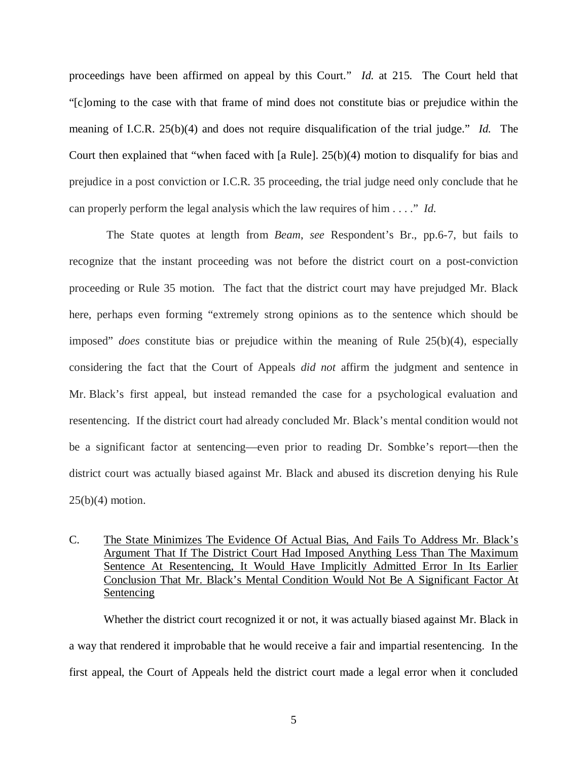proceedings have been affirmed on appeal by this Court." *Id.* at 215. The Court held that "[c]oming to the case with that frame of mind does not constitute bias or prejudice within the meaning of I.C.R. 25(b)(4) and does not require disqualification of the trial judge." *Id.* The Court then explained that "when faced with [a Rule]. 25(b)(4) motion to disqualify for bias and prejudice in a post conviction or I.C.R. 35 proceeding, the trial judge need only conclude that he can properly perform the legal analysis which the law requires of him . . . ." *Id.*

The State quotes at length from *Beam*, *see* Respondent's Br., pp.6-7, but fails to recognize that the instant proceeding was not before the district court on a post-conviction proceeding or Rule 35 motion. The fact that the district court may have prejudged Mr. Black here, perhaps even forming "extremely strong opinions as to the sentence which should be imposed" *does* constitute bias or prejudice within the meaning of Rule 25(b)(4), especially considering the fact that the Court of Appeals *did not* affirm the judgment and sentence in Mr. Black's first appeal, but instead remanded the case for a psychological evaluation and resentencing. If the district court had already concluded Mr. Black's mental condition would not be a significant factor at sentencing—even prior to reading Dr. Sombke's report—then the district court was actually biased against Mr. Black and abused its discretion denying his Rule  $25(b)(4)$  motion.

## C. The State Minimizes The Evidence Of Actual Bias, And Fails To Address Mr. Black's Argument That If The District Court Had Imposed Anything Less Than The Maximum Sentence At Resentencing, It Would Have Implicitly Admitted Error In Its Earlier Conclusion That Mr. Black's Mental Condition Would Not Be A Significant Factor At Sentencing

Whether the district court recognized it or not, it was actually biased against Mr. Black in a way that rendered it improbable that he would receive a fair and impartial resentencing. In the first appeal, the Court of Appeals held the district court made a legal error when it concluded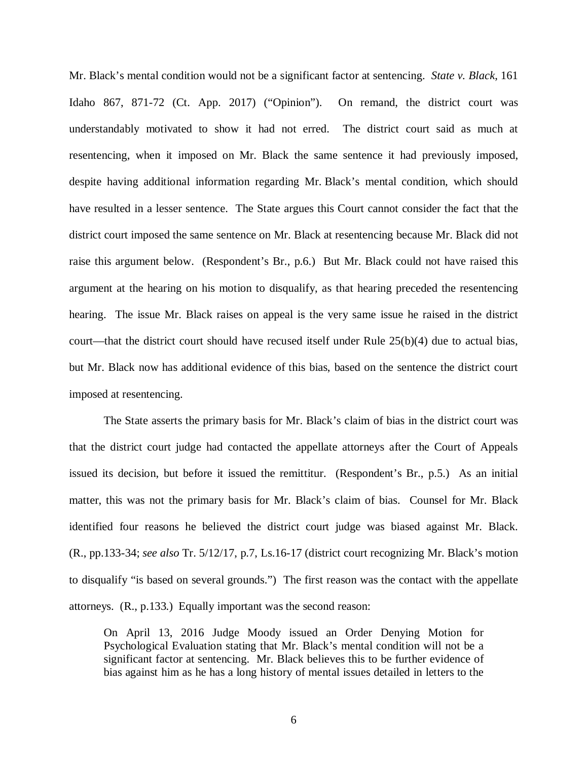Mr. Black's mental condition would not be a significant factor at sentencing. *State v. Black*, 161 Idaho 867, 871-72 (Ct. App. 2017) ("Opinion"). On remand, the district court was understandably motivated to show it had not erred. The district court said as much at resentencing, when it imposed on Mr. Black the same sentence it had previously imposed, despite having additional information regarding Mr. Black's mental condition, which should have resulted in a lesser sentence. The State argues this Court cannot consider the fact that the district court imposed the same sentence on Mr. Black at resentencing because Mr. Black did not raise this argument below. (Respondent's Br., p.6.) But Mr. Black could not have raised this argument at the hearing on his motion to disqualify, as that hearing preceded the resentencing hearing. The issue Mr. Black raises on appeal is the very same issue he raised in the district court—that the district court should have recused itself under Rule 25(b)(4) due to actual bias, but Mr. Black now has additional evidence of this bias, based on the sentence the district court imposed at resentencing.

The State asserts the primary basis for Mr. Black's claim of bias in the district court was that the district court judge had contacted the appellate attorneys after the Court of Appeals issued its decision, but before it issued the remittitur. (Respondent's Br., p.5.) As an initial matter, this was not the primary basis for Mr. Black's claim of bias. Counsel for Mr. Black identified four reasons he believed the district court judge was biased against Mr. Black. (R., pp.133-34; *see also* Tr. 5/12/17, p.7, Ls.16-17 (district court recognizing Mr. Black's motion to disqualify "is based on several grounds.") The first reason was the contact with the appellate attorneys. (R., p.133.) Equally important was the second reason:

On April 13, 2016 Judge Moody issued an Order Denying Motion for Psychological Evaluation stating that Mr. Black's mental condition will not be a significant factor at sentencing. Mr. Black believes this to be further evidence of bias against him as he has a long history of mental issues detailed in letters to the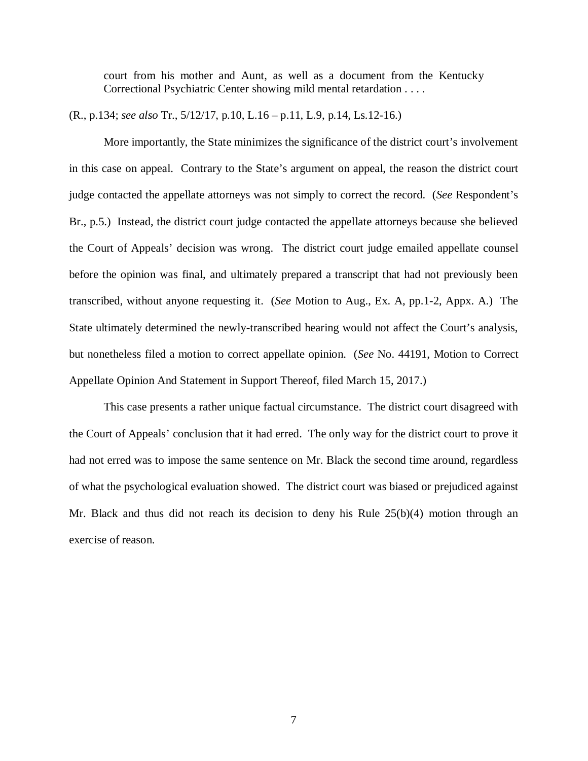court from his mother and Aunt, as well as a document from the Kentucky Correctional Psychiatric Center showing mild mental retardation . . . .

(R., p.134; *see also* Tr., 5/12/17, p.10, L.16 – p.11, L.9, p.14, Ls.12-16.)

More importantly, the State minimizes the significance of the district court's involvement in this case on appeal. Contrary to the State's argument on appeal, the reason the district court judge contacted the appellate attorneys was not simply to correct the record. (*See* Respondent's Br., p.5.) Instead, the district court judge contacted the appellate attorneys because she believed the Court of Appeals' decision was wrong. The district court judge emailed appellate counsel before the opinion was final, and ultimately prepared a transcript that had not previously been transcribed, without anyone requesting it. (*See* Motion to Aug., Ex. A, pp.1-2, Appx. A.) The State ultimately determined the newly-transcribed hearing would not affect the Court's analysis, but nonetheless filed a motion to correct appellate opinion. (*See* No. 44191, Motion to Correct Appellate Opinion And Statement in Support Thereof, filed March 15, 2017.)

This case presents a rather unique factual circumstance. The district court disagreed with the Court of Appeals' conclusion that it had erred. The only way for the district court to prove it had not erred was to impose the same sentence on Mr. Black the second time around, regardless of what the psychological evaluation showed. The district court was biased or prejudiced against Mr. Black and thus did not reach its decision to deny his Rule 25(b)(4) motion through an exercise of reason.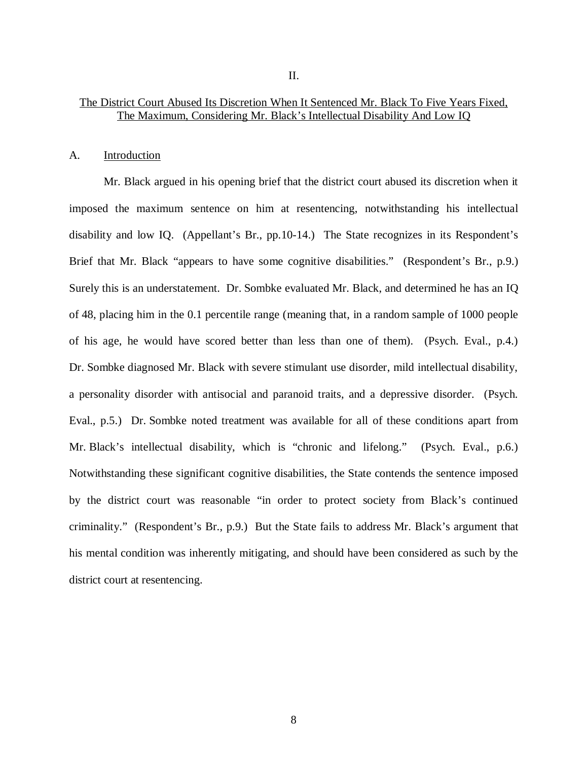## The District Court Abused Its Discretion When It Sentenced Mr. Black To Five Years Fixed, The Maximum, Considering Mr. Black's Intellectual Disability And Low IQ

#### A. Introduction

Mr. Black argued in his opening brief that the district court abused its discretion when it imposed the maximum sentence on him at resentencing, notwithstanding his intellectual disability and low IQ. (Appellant's Br., pp.10-14.) The State recognizes in its Respondent's Brief that Mr. Black "appears to have some cognitive disabilities." (Respondent's Br., p.9.) Surely this is an understatement. Dr. Sombke evaluated Mr. Black, and determined he has an IQ of 48, placing him in the 0.1 percentile range (meaning that, in a random sample of 1000 people of his age, he would have scored better than less than one of them). (Psych. Eval., p.4.) Dr. Sombke diagnosed Mr. Black with severe stimulant use disorder, mild intellectual disability, a personality disorder with antisocial and paranoid traits, and a depressive disorder. (Psych. Eval., p.5.) Dr. Sombke noted treatment was available for all of these conditions apart from Mr. Black's intellectual disability, which is "chronic and lifelong." (Psych. Eval., p.6.) Notwithstanding these significant cognitive disabilities, the State contends the sentence imposed by the district court was reasonable "in order to protect society from Black's continued criminality." (Respondent's Br., p.9.) But the State fails to address Mr. Black's argument that his mental condition was inherently mitigating, and should have been considered as such by the district court at resentencing.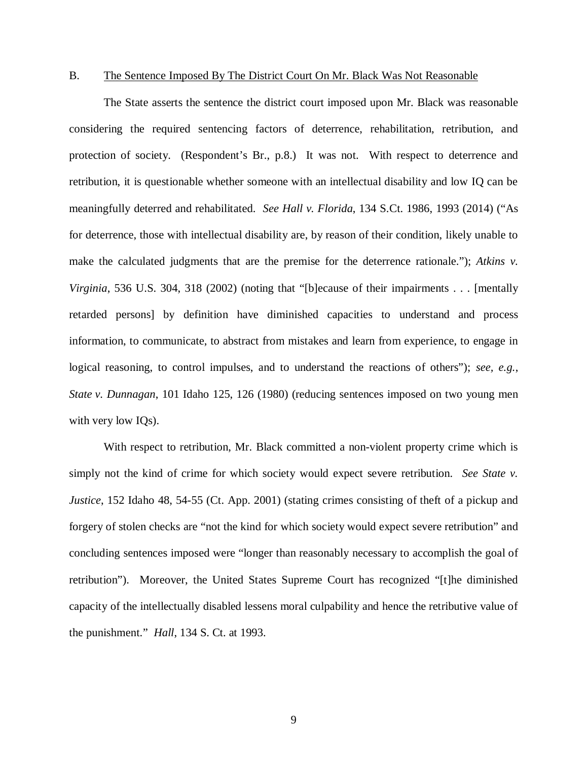#### B. The Sentence Imposed By The District Court On Mr. Black Was Not Reasonable

The State asserts the sentence the district court imposed upon Mr. Black was reasonable considering the required sentencing factors of deterrence, rehabilitation, retribution, and protection of society. (Respondent's Br., p.8.) It was not. With respect to deterrence and retribution, it is questionable whether someone with an intellectual disability and low IQ can be meaningfully deterred and rehabilitated. *See Hall v. Florida*, 134 S.Ct. 1986, 1993 (2014) ("As for deterrence, those with intellectual disability are, by reason of their condition, likely unable to make the calculated judgments that are the premise for the deterrence rationale."); *Atkins v. Virginia*, 536 U.S. 304, 318 (2002) (noting that "[b]ecause of their impairments . . . [mentally retarded persons] by definition have diminished capacities to understand and process information, to communicate, to abstract from mistakes and learn from experience, to engage in logical reasoning, to control impulses, and to understand the reactions of others"); *see, e.g.*, *State v. Dunnagan*, 101 Idaho 125, 126 (1980) (reducing sentences imposed on two young men with very low IQs).

With respect to retribution, Mr. Black committed a non-violent property crime which is simply not the kind of crime for which society would expect severe retribution. *See State v. Justice*, 152 Idaho 48, 54-55 (Ct. App. 2001) (stating crimes consisting of theft of a pickup and forgery of stolen checks are "not the kind for which society would expect severe retribution" and concluding sentences imposed were "longer than reasonably necessary to accomplish the goal of retribution"). Moreover, the United States Supreme Court has recognized "[t]he diminished capacity of the intellectually disabled lessens moral culpability and hence the retributive value of the punishment." *Hall*, 134 S. Ct. at 1993.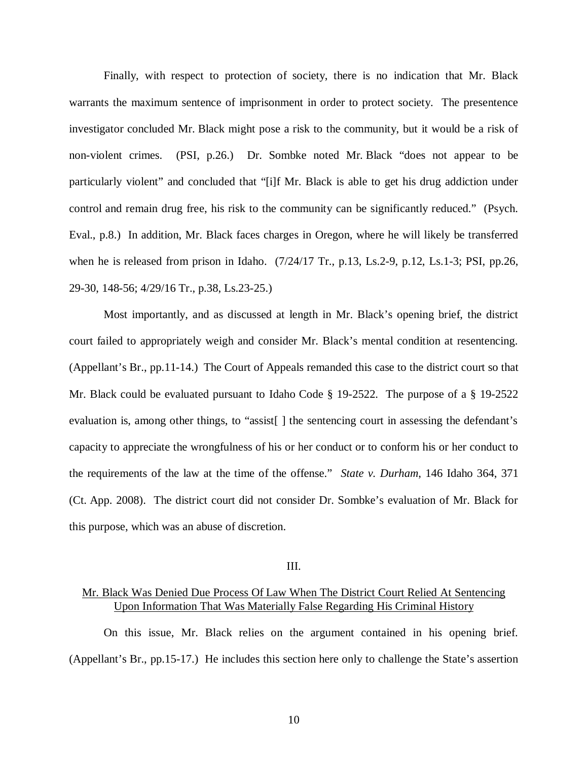Finally, with respect to protection of society, there is no indication that Mr. Black warrants the maximum sentence of imprisonment in order to protect society. The presentence investigator concluded Mr. Black might pose a risk to the community, but it would be a risk of non-violent crimes. (PSI, p.26.) Dr. Sombke noted Mr. Black "does not appear to be particularly violent" and concluded that "[i]f Mr. Black is able to get his drug addiction under control and remain drug free, his risk to the community can be significantly reduced." (Psych. Eval., p.8.) In addition, Mr. Black faces charges in Oregon, where he will likely be transferred when he is released from prison in Idaho. (7/24/17 Tr., p.13, Ls.2-9, p.12, Ls.1-3; PSI, pp.26, 29-30, 148-56; 4/29/16 Tr., p.38, Ls.23-25.)

Most importantly, and as discussed at length in Mr. Black's opening brief, the district court failed to appropriately weigh and consider Mr. Black's mental condition at resentencing. (Appellant's Br., pp.11-14.) The Court of Appeals remanded this case to the district court so that Mr. Black could be evaluated pursuant to Idaho Code § 19-2522. The purpose of a § 19-2522 evaluation is, among other things, to "assist<sup>[]</sup> the sentencing court in assessing the defendant's capacity to appreciate the wrongfulness of his or her conduct or to conform his or her conduct to the requirements of the law at the time of the offense." *State v. Durham*, 146 Idaho 364, 371 (Ct. App. 2008). The district court did not consider Dr. Sombke's evaluation of Mr. Black for this purpose, which was an abuse of discretion.

#### III.

## Mr. Black Was Denied Due Process Of Law When The District Court Relied At Sentencing Upon Information That Was Materially False Regarding His Criminal History

On this issue, Mr. Black relies on the argument contained in his opening brief. (Appellant's Br., pp.15-17.) He includes this section here only to challenge the State's assertion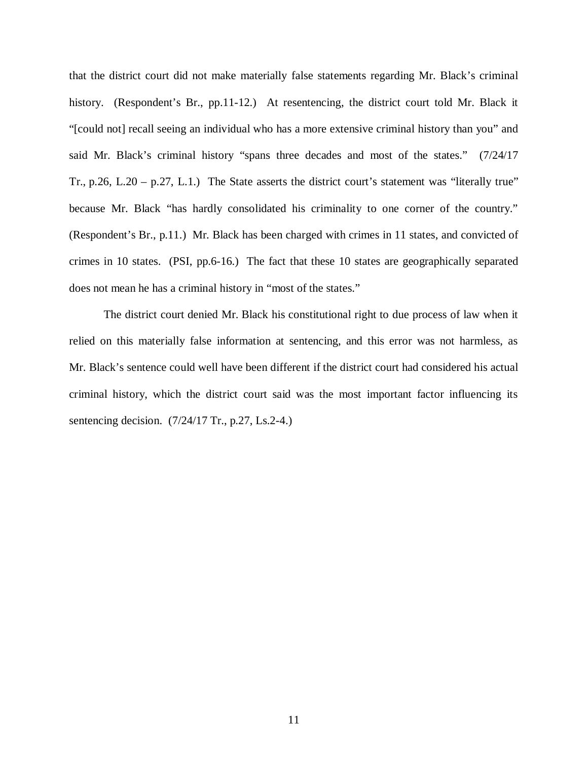that the district court did not make materially false statements regarding Mr. Black's criminal history. (Respondent's Br., pp.11-12.) At resentencing, the district court told Mr. Black it "[could not] recall seeing an individual who has a more extensive criminal history than you" and said Mr. Black's criminal history "spans three decades and most of the states." (7/24/17 Tr., p.26, L.20 – p.27, L.1.) The State asserts the district court's statement was "literally true" because Mr. Black "has hardly consolidated his criminality to one corner of the country." (Respondent's Br., p.11.) Mr. Black has been charged with crimes in 11 states, and convicted of crimes in 10 states. (PSI, pp.6-16.) The fact that these 10 states are geographically separated does not mean he has a criminal history in "most of the states."

The district court denied Mr. Black his constitutional right to due process of law when it relied on this materially false information at sentencing, and this error was not harmless, as Mr. Black's sentence could well have been different if the district court had considered his actual criminal history, which the district court said was the most important factor influencing its sentencing decision. (7/24/17 Tr., p.27, Ls.2-4.)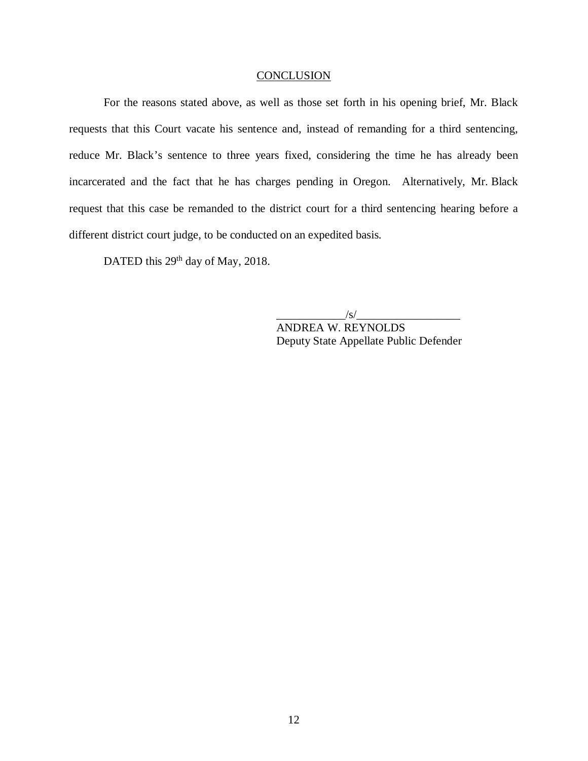#### **CONCLUSION**

For the reasons stated above, as well as those set forth in his opening brief, Mr. Black requests that this Court vacate his sentence and, instead of remanding for a third sentencing, reduce Mr. Black's sentence to three years fixed, considering the time he has already been incarcerated and the fact that he has charges pending in Oregon. Alternatively, Mr. Black request that this case be remanded to the district court for a third sentencing hearing before a different district court judge, to be conducted on an expedited basis.

DATED this 29<sup>th</sup> day of May, 2018.

 $\frac{|s|}{|s|}$ 

ANDREA W. REYNOLDS Deputy State Appellate Public Defender